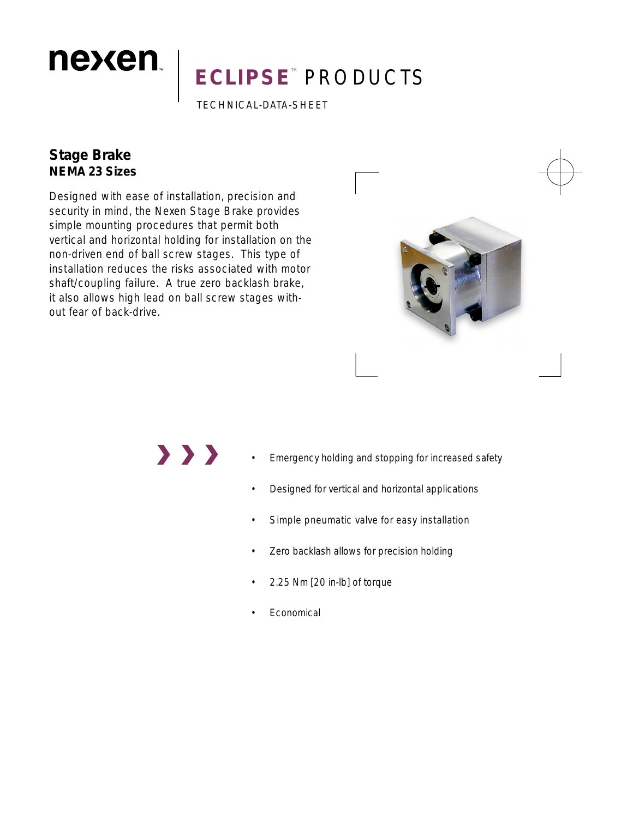# **ECLIPSE<sup>®</sup> PRODUCTS**

TECHNICAL-DATA-SHEET

### **Stage Brake NEMA 23 Sizes**

nexen.

Designed with ease of installation, precision and security in mind, the Nexen Stage Brake provides simple mounting procedures that permit both vertical and horizontal holding for installation on the non-driven end of ball screw stages. This type of installation reduces the risks associated with motor shaft/coupling failure. A true zero backlash brake, it also allows high lead on ball screw stages without fear of back-drive.



## $\rightarrow$   $\rightarrow$   $\rightarrow$

- Emergency holding and stopping for increased safety
- Designed for vertical and horizontal applications
- Simple pneumatic valve for easy installation
- Zero backlash allows for precision holding
- 2.25 Nm [20 in-lb] of torque
- **Economical**